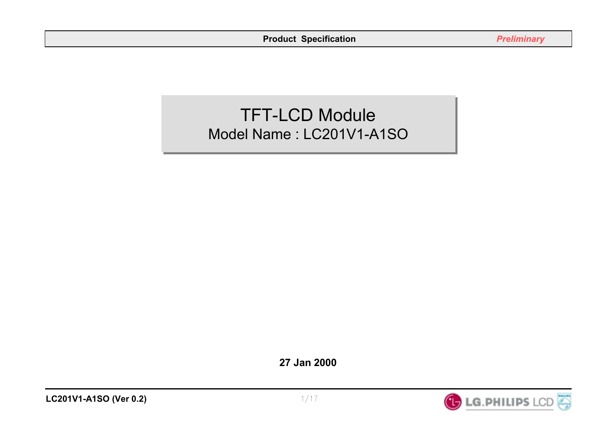# TFT-LCD Module TFT-LCD Module Model Name : LC201V1-A1SO Model Name : LC201V1-A1SO

**27 Jan 2000**

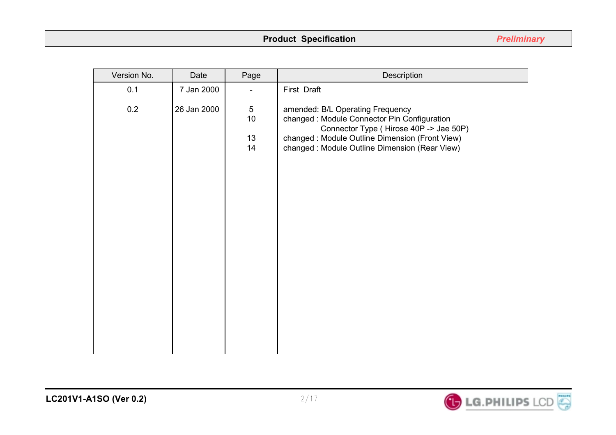# **Product Specification** *Preliminary*

| Version No. | Date        | Page                                          | Description                                                                                                                                                                                                                     |
|-------------|-------------|-----------------------------------------------|---------------------------------------------------------------------------------------------------------------------------------------------------------------------------------------------------------------------------------|
| 0.1         | 7 Jan 2000  |                                               | First Draft                                                                                                                                                                                                                     |
| 0.2         | 26 Jan 2000 | $\overline{5}$<br>10 <sub>1</sub><br>13<br>14 | amended: B/L Operating Frequency<br>changed : Module Connector Pin Configuration<br>Connector Type (Hirose 40P -> Jae 50P)<br>changed : Module Outline Dimension (Front View)<br>changed : Module Outline Dimension (Rear View) |
|             |             |                                               |                                                                                                                                                                                                                                 |

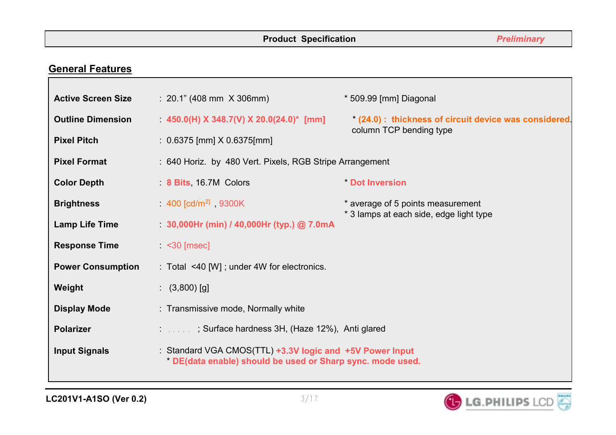# **General Features**

| <b>Active Screen Size</b>                                    | : 20.1" (408 mm X 306 mm)                                                                                              | * 509.99 [mm] Diagonal                             |
|--------------------------------------------------------------|------------------------------------------------------------------------------------------------------------------------|----------------------------------------------------|
| <b>Outline Dimension</b>                                     | 450.0(H) X 348.7(V) X 20.0(24.0)* [mm]                                                                                 | (24.0): thickness of circuit device was considered |
| <b>Pixel Pitch</b>                                           | $: 0.6375$ [mm] $X$ 0.6375[mm]                                                                                         | column TCP bending type                            |
| <b>Pixel Format</b>                                          | : 640 Horiz. by 480 Vert. Pixels, RGB Stripe Arrangement                                                               |                                                    |
| <b>Color Depth</b><br>8 Bits 16.7M Colors                    |                                                                                                                        | <b>Dot Inversion</b>                               |
| 400 $\lceil \text{cd/m}^2 \rceil$ 9300K<br><b>Brightness</b> |                                                                                                                        | * average of 5 points measurement                  |
| <b>Lamp Life Time</b>                                        | $30,000$ Hr (min) / 40,000Hr (typ.) @ 7.0mA                                                                            | * 3 lamps at each side, edge light type            |
| <b>Response Time</b><br>$\leq$ 30 [msec]                     |                                                                                                                        |                                                    |
| <b>Power Consumption</b>                                     | : Total <40 [W]; under 4W for electronics.                                                                             |                                                    |
| Weight<br>$(3,800)$ [g]                                      |                                                                                                                        |                                                    |
| <b>Display Mode</b>                                          | : Transmissive mode, Normally white                                                                                    |                                                    |
| <b>Polarizer</b>                                             | : ; Surface hardness 3H, (Haze 12%), Anti glared                                                                       |                                                    |
| <b>Input Signals</b>                                         | : Standard VGA CMOS(TTL) +3.3V logic and +5V Power Input<br>* DE(data enable) should be used or Sharp sync. mode used. |                                                    |

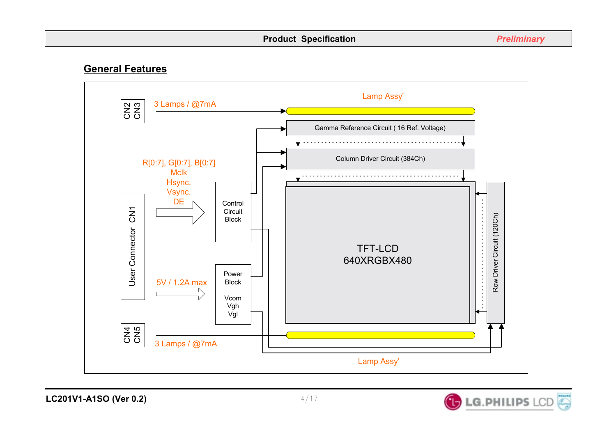## **General Features**



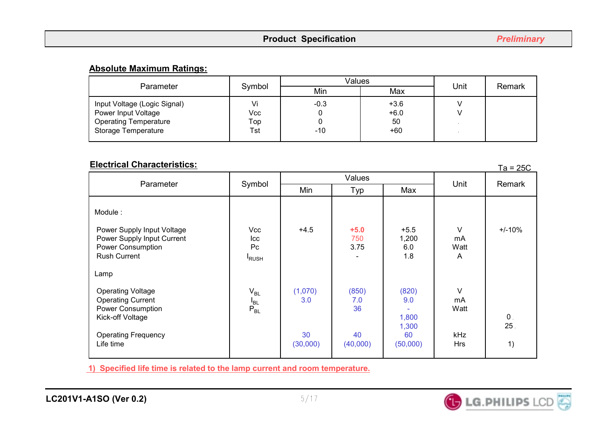#### **Absolute Maximum Ratings:**

| Parameter                                                                                                  | Symbol                  | Values          | Unit                          | Remark |  |
|------------------------------------------------------------------------------------------------------------|-------------------------|-----------------|-------------------------------|--------|--|
|                                                                                                            |                         | Min             | Max                           |        |  |
| Input Voltage (Logic Signal)<br>Power Input Voltage<br><b>Operating Temperature</b><br>Storage Temperature | Vi<br>Vcc<br>Top<br>Tst | $-0.3$<br>$-10$ | $+3.6$<br>$+6.0$<br>50<br>+60 |        |  |

#### Ta = 25C **Electrical Characteristics:**

|                                                                                                                        |                                   |                |                       |                                |                                        | $1a - 20C$           |  |
|------------------------------------------------------------------------------------------------------------------------|-----------------------------------|----------------|-----------------------|--------------------------------|----------------------------------------|----------------------|--|
| Parameter                                                                                                              | Symbol                            | Values         |                       |                                | Unit                                   | Remark               |  |
|                                                                                                                        |                                   | Min            | Typ                   | Max                            |                                        |                      |  |
| Module:<br>Power Supply Input Voltage<br>Power Supply Input Current<br><b>Power Consumption</b><br><b>Rush Current</b> | Vcc<br>Icc<br>Pc<br><b>I</b> RUSH | $+4.5$         | $+5.0$<br>750<br>3.75 | $+5.5$<br>1,200<br>6.0<br>1.8  | $\vee$<br>mA<br>Watt<br>$\overline{A}$ | $+/-10%$             |  |
| Lamp                                                                                                                   |                                   |                |                       |                                |                                        |                      |  |
| <b>Operating Voltage</b><br><b>Operating Current</b><br>Power Consumption<br>Kick-off Voltage                          | $V_{BL}$<br>$I_{BL}$<br>$P_{BL}$  | (1,070)<br>3.0 | (850)<br>7.0<br>36    | (820)<br>9.0<br>1,800<br>1,300 | $\vee$<br>mA<br>Watt                   | $\mathbf 0$ .<br>25. |  |
| <b>Operating Frequency</b><br>Life time                                                                                |                                   | 30<br>(30,000) | 40<br>(40,000)        | 60<br>(50,000)                 | <b>kHz</b><br><b>Hrs</b>               | 1)                   |  |

**1) Specified life time is related to the lamp current and room temperature.** 

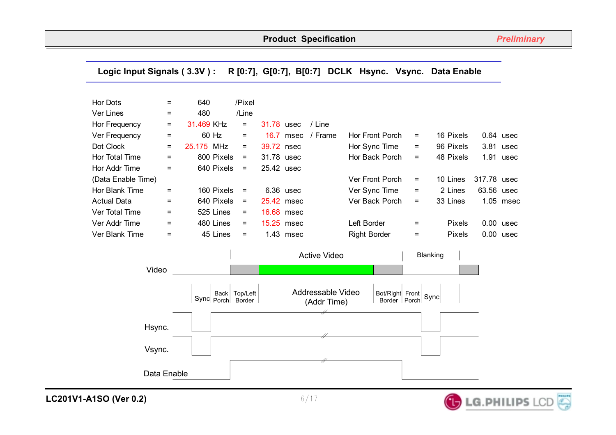#### Hor Dots  $=$  640 /Pixel  $Ver Lines = 480$  /Line Hor Frequency  $= 31.469$  KHz  $= 31.78$  usec / Line Ver Frequency  $=$  60 Hz  $=$  16.7 msec / Frame Hor Front Porch  $=$  16 Pixels 0.64 usec Dot Clock  $=$  25.175 MHz = 39.72 nsec Hor Sync Time = 96 Pixels 3.81 usec Hor Total Time  $=$  800 Pixels = 31.78 usec Hor Back Porch = 48 Pixels 1.91 usec Hor Addr Time  $=$  640 Pixels = 25.42 usec (Data Enable Time) Ver Front Porch = 10 Lines 317.78 usec Hor Blank Time = 160 Pixels = 6.36 usec Ver Sync Time = 2 Lines 63.56 usec Actual Data = 640 Pixels = 25.42 msec Ver Back Porch = 33 Lines 1.05 msec Ver Total Time  $=$  525 Lines  $=$  16.68 msec Ver Addr Time  $\qquad \quad = \qquad \quad$  480 Lines =  $\quad$  15.25 msec Left Border  $\qquad \quad = \qquad$  Pixels 0.00 usec Ver Blank Time  $\qquad \quad = \qquad \quad$  45 Lines = 1.43 msec Right Border = Pixels 0.00 usec Active Video Sync Porch **Back** Top/Left Border Addressable Video (Addr Time) Bot/Right Front Border Porch Sync Blanking Hsync. Video Vsync. Data Enable **Logic Input Signals ( 3.3V ) : R [0:7], G[0:7], B[0:7] DCLK Hsync. Vsync. Data Enable**

**LC201V1-A1SO (Ver 0.2)**

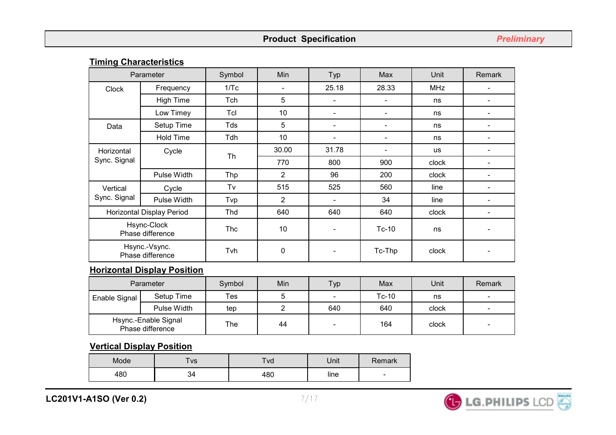# **Timing Characteristics**

|                                 | Parameter                         | Symbol     | Min            | Typ                      | Max                      | <b>Unit</b> | Remark |
|---------------------------------|-----------------------------------|------------|----------------|--------------------------|--------------------------|-------------|--------|
| <b>Clock</b>                    | Frequency                         | 1/Tc       |                | 25.18                    | 28.33                    | <b>MHz</b>  |        |
|                                 | <b>High Time</b>                  | Tch        | 5              | $\blacksquare$           |                          | ns          |        |
|                                 | Low Timey                         | Tcl        | 10             |                          | $\overline{\phantom{0}}$ | ns          |        |
| Data                            | Setup Time                        | Tds        | 5              | $\overline{\phantom{a}}$ |                          | ns          |        |
|                                 | <b>Hold Time</b>                  | Tdh        | 10             |                          |                          | ns          |        |
| Horizontal<br>Sync. Signal      | Cycle                             | Th         | 30.00          | 31.78                    |                          | <b>us</b>   |        |
|                                 |                                   |            | 770            | 800                      | 900                      | clock       |        |
|                                 | Pulse Width                       | <b>Thp</b> | $\overline{2}$ | 96                       | 200                      | clock       |        |
| Vertical                        | Cycle                             | Tv         | 515            | 525                      | 560                      | line        |        |
| Sync. Signal                    | Pulse Width                       | Tvp        | $\overline{2}$ | $\overline{\phantom{a}}$ | 34                       | line        |        |
|                                 | Horizontal Display Period         | Thd        | 640            | 640                      | 640                      | clock       |        |
| Hsync-Clock<br>Phase difference |                                   | <b>Thc</b> | 10             |                          | $Tc-10$                  | ns          |        |
|                                 | Hsync.-Vsync.<br>Phase difference | Tvh        | 0              | $\overline{\phantom{a}}$ | Tc-Thp                   | clock       |        |

#### **Horizontal Display Position**

| Parameter                                |             | Symbol | Min | Typ | Max     | Unit  | Remark |
|------------------------------------------|-------------|--------|-----|-----|---------|-------|--------|
| Enable Signal                            | Setup Time  | Tes    |     | -   | $Tc-10$ | ns    |        |
|                                          | Pulse Width | tep    |     | 640 | 640     | clock |        |
| Hsync.-Enable Signal<br>Phase difference |             | The    | 44  |     | 164     | clock |        |

#### **Vertical Display Position**

| Mode | $v_s$ | Tva | Unit | <b>Remark</b>            |
|------|-------|-----|------|--------------------------|
| 480  | 34    | 480 | line | $\overline{\phantom{0}}$ |

**LC201V1-A1SO (Ver 0.2)**

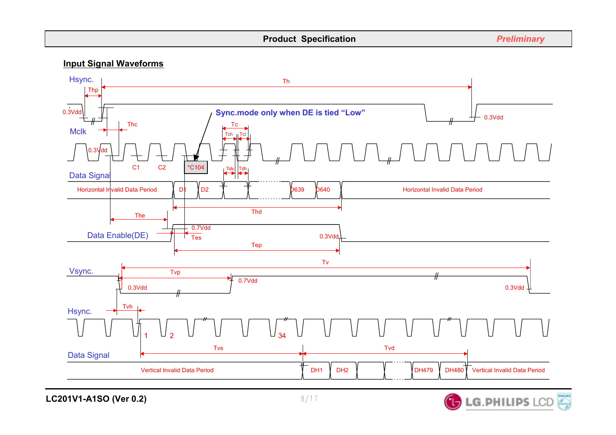#### **Input Signal Waveforms**



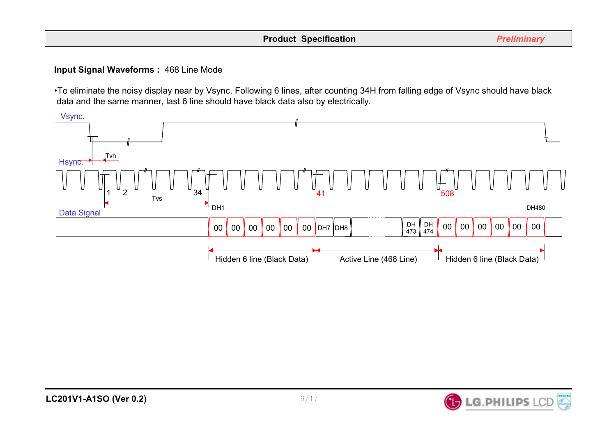#### **Input Signal Waveforms :** 468 Line Mode

•To eliminate the noisy display near by Vsync. Following 6 lines, after counting 34H from falling edge of Vsync should have black data and the same manner, last 6 line should have black data also by electrically.



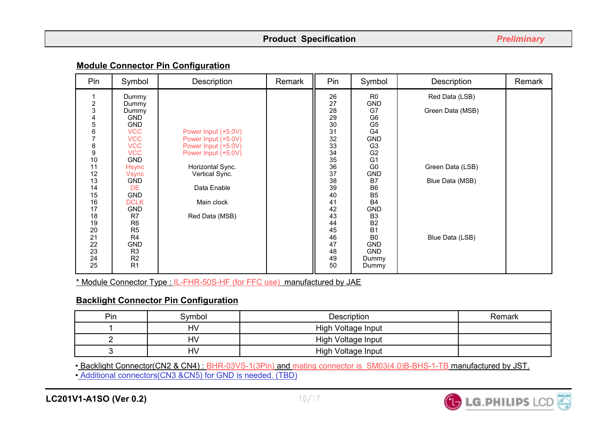#### **Module Connector Pin Configuration**

| Pin                                                                                                                              | Symbol                                                                                                                                                                                                                                                             | Description                                                                                                                                                                   | Remark | Pin                                                                                                                                                    | Symbol                                                                                                                                                                                                                                                                                                        | Description                                                               | Remark |
|----------------------------------------------------------------------------------------------------------------------------------|--------------------------------------------------------------------------------------------------------------------------------------------------------------------------------------------------------------------------------------------------------------------|-------------------------------------------------------------------------------------------------------------------------------------------------------------------------------|--------|--------------------------------------------------------------------------------------------------------------------------------------------------------|---------------------------------------------------------------------------------------------------------------------------------------------------------------------------------------------------------------------------------------------------------------------------------------------------------------|---------------------------------------------------------------------------|--------|
| $\frac{2}{3}$<br>4567<br>$\begin{array}{c} 8 \\ 9 \end{array}$<br>10<br>11<br>12<br>13<br>14<br>15<br>16<br>17<br>18<br>19<br>20 | Dummy<br>Dummy<br>Dummy<br><b>GND</b><br><b>GND</b><br><b>VCC</b><br><b>VCC</b><br><b>VCC</b><br><b>VCC</b><br><b>GND</b><br><b>Hsync</b><br>Vsync<br><b>GND</b><br><b>DE</b><br><b>GND</b><br><b>DCLK</b><br><b>GND</b><br>R7<br>R <sub>6</sub><br>R <sub>5</sub> | Power Input (+5.0V)<br>Power Input (+5.0V)<br>Power Input (+5.0V)<br>Power Input (+5.0V)<br>Horizontal Sync.<br>Vertical Sync.<br>Data Enable<br>Main clock<br>Red Data (MSB) |        | 26<br>27<br>28<br>29<br>$\frac{30}{31}$<br>32<br>$\frac{33}{34}$<br>$\overline{35}$<br>$\frac{36}{37}$<br>38<br>39<br>40<br>41<br>42<br>43<br>44<br>45 | R <sub>0</sub><br><b>GND</b><br>G7<br>G <sub>6</sub><br>G <sub>5</sub><br>G <sub>4</sub><br><b>GND</b><br>G <sub>3</sub><br>G <sub>2</sub><br>G <sub>1</sub><br>G <sub>0</sub><br><b>GND</b><br>B7<br>B <sub>6</sub><br>B <sub>5</sub><br><b>B4</b><br><b>GND</b><br>B <sub>3</sub><br><b>B2</b><br><b>B1</b> | Red Data (LSB)<br>Green Data (MSB)<br>Green Data (LSB)<br>Blue Data (MSB) |        |
| 21<br>22<br>23<br>24<br>25                                                                                                       | R4<br><b>GND</b><br>R <sub>3</sub><br>R <sub>2</sub><br>R <sub>1</sub>                                                                                                                                                                                             |                                                                                                                                                                               |        | 46<br>47<br>48<br>49<br>50                                                                                                                             | B <sub>0</sub><br><b>GND</b><br><b>GND</b><br>Dummy<br>Dummy                                                                                                                                                                                                                                                  | Blue Data (LSB)                                                           |        |

\* Module Connector Type : IL-FHR-50S-HF (for FFC use) manufactured by JAE

### **Backlight Connector Pin Configuration**

| Pin | Svmbol    | Description        | Remark |
|-----|-----------|--------------------|--------|
|     | HV        | High Voltage Input |        |
|     | HV        | High Voltage Input |        |
|     | <b>HV</b> | High Voltage Input |        |

• Backlight Connector(CN2 & CN4): BHR-03VS-1(3Pin) and mating connector is SM03(4.0)B-BHS-1-TB manufactured by JST. • Additional connectors(CN3 &CN5) for GND is needed. (TBD)

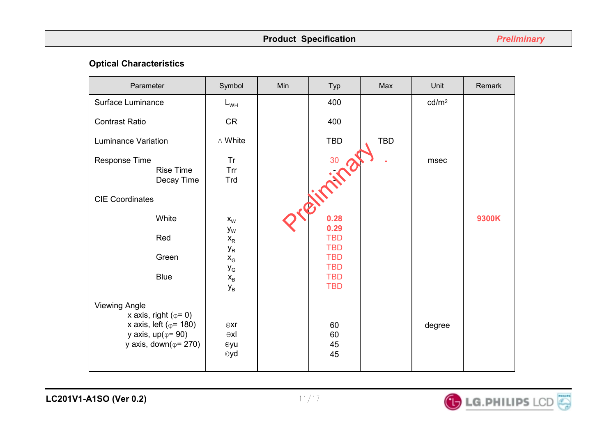### **Optical Characteristics**

| Parameter                                                                                                                         | Symbol                                   | Min | Typ                                    | Max        | Unit              | Remark |
|-----------------------------------------------------------------------------------------------------------------------------------|------------------------------------------|-----|----------------------------------------|------------|-------------------|--------|
| Surface Luminance                                                                                                                 | $L_{WH}$                                 |     | 400                                    |            | cd/m <sup>2</sup> |        |
| <b>Contrast Ratio</b>                                                                                                             | <b>CR</b>                                |     | 400                                    |            |                   |        |
| <b>Luminance Variation</b>                                                                                                        | $\triangle$ White                        |     | <b>TBD</b>                             | <b>TBD</b> |                   |        |
| Response Time<br>Rise Time<br>Decay Time                                                                                          | <b>Tr</b><br><b>Trr</b><br>Trd           |     | infairs                                |            | msec              |        |
| <b>CIE Coordinates</b>                                                                                                            |                                          |     |                                        |            |                   |        |
| White                                                                                                                             | $x_{W}$                                  |     | 0.28                                   |            |                   | 9300K  |
| Red                                                                                                                               | $y_{W}$<br>$\mathsf{X}_\mathsf{R}$       |     | 0.29<br><b>TBD</b>                     |            |                   |        |
| Green                                                                                                                             | $y_R$<br>$\mathsf{X}_{\mathsf{G}}$       |     | <b>TBD</b><br><b>TBD</b>               |            |                   |        |
| <b>Blue</b>                                                                                                                       | $y_{\rm G}$<br>$X_B$<br>$y_B$            |     | <b>TBD</b><br><b>TBD</b><br><b>TBD</b> |            |                   |        |
| <b>Viewing Angle</b>                                                                                                              |                                          |     |                                        |            |                   |        |
| x axis, right ( $\varphi$ = 0)<br>x axis, left ( $\varphi$ = 180)<br>y axis, $up(\varphi = 90)$<br>y axis, down( $\varphi$ = 270) | $\Theta$ xr<br>$\Theta$ xl<br>⊕yu<br>⊕yd |     | 60<br>60<br>45<br>45                   |            | degree            |        |

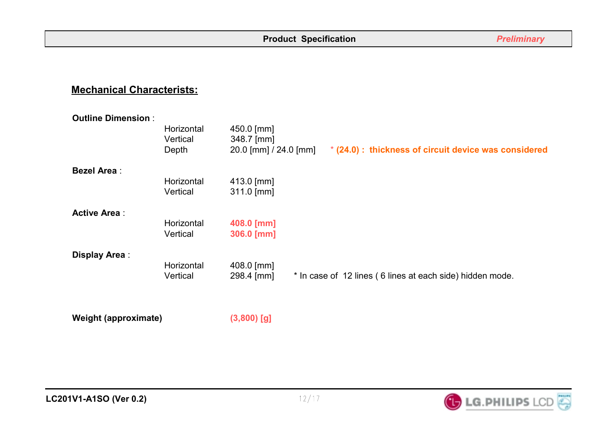# **Mechanical Characterists:**

| <b>Outline Dimension:</b> |            |                       |                                                           |                                                       |
|---------------------------|------------|-----------------------|-----------------------------------------------------------|-------------------------------------------------------|
|                           | Horizontal | 450.0 [mm]            |                                                           |                                                       |
|                           | Vertical   | 348.7 [mm]            |                                                           |                                                       |
|                           | Depth      | 20.0 [mm] / 24.0 [mm] |                                                           | * (24.0) : thickness of circuit device was considered |
| <b>Bezel Area:</b>        |            |                       |                                                           |                                                       |
|                           | Horizontal | $413.0$ [mm]          |                                                           |                                                       |
|                           | Vertical   | $311.0$ [mm]          |                                                           |                                                       |
| <b>Active Area:</b>       |            |                       |                                                           |                                                       |
|                           | Horizontal | 408.0 [mm]            |                                                           |                                                       |
|                           | Vertical   | 306.0 [mm]            |                                                           |                                                       |
| Display Area:             |            |                       |                                                           |                                                       |
|                           | Horizontal | $408.0$ [mm]          |                                                           |                                                       |
|                           | Vertical   | 298.4 [mm]            | * In case of 12 lines (6 lines at each side) hidden mode. |                                                       |
|                           |            |                       |                                                           |                                                       |

**Weight (approximate) (3,800) [g]** 



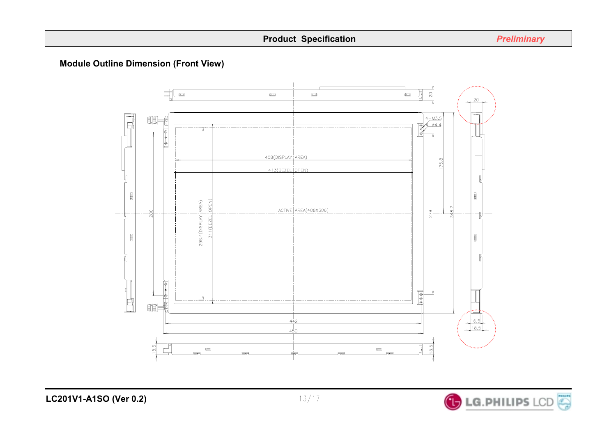#### **Module Outline Dimension (Front View)**



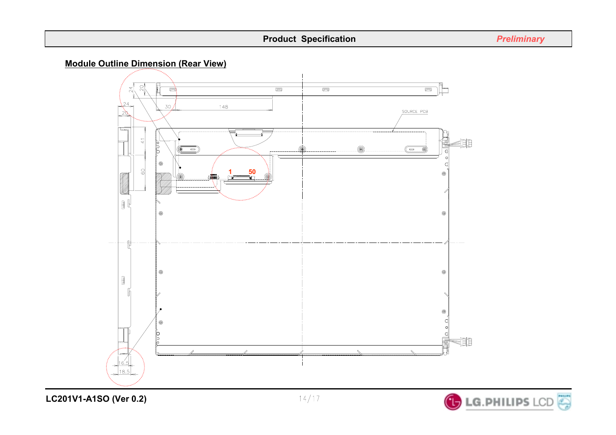



**LC201V1-A1SO (Ver 0.2)**

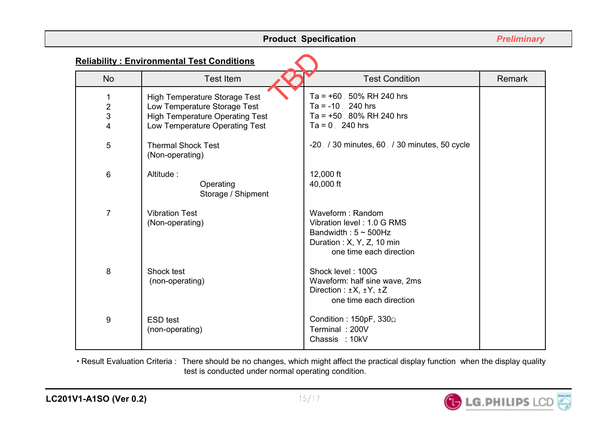|                | <b>Product Specification</b>                      |                                                                                                                                      |        |  |  |  |  |
|----------------|---------------------------------------------------|--------------------------------------------------------------------------------------------------------------------------------------|--------|--|--|--|--|
|                | <b>Reliability: Environmental Test Conditions</b> |                                                                                                                                      |        |  |  |  |  |
| <b>No</b>      | <b>Test Item</b>                                  | <b>Test Condition</b>                                                                                                                | Remark |  |  |  |  |
| 1              | <b>High Temperature Storage Test</b>              | Ta = $+60.50\%$ RH 240 hrs                                                                                                           |        |  |  |  |  |
| $\frac{2}{3}$  | Low Temperature Storage Test                      | $Ta = -10$ 240 hrs                                                                                                                   |        |  |  |  |  |
|                | <b>High Temperature Operating Test</b>            | Ta = $+50$ . 80% RH 240 hrs                                                                                                          |        |  |  |  |  |
| 4              | Low Temperature Operating Test                    | $Ta = 0$ . 240 hrs                                                                                                                   |        |  |  |  |  |
| 5              | <b>Thermal Shock Test</b><br>(Non-operating)      | -20 / 30 minutes, 60 / 30 minutes, 50 cycle                                                                                          |        |  |  |  |  |
| 6              | Altitude:<br>Operating<br>Storage / Shipment      | 12,000 ft<br>40,000 ft                                                                                                               |        |  |  |  |  |
| $\overline{7}$ | <b>Vibration Test</b><br>(Non-operating)          | Waveform: Random<br>Vibration level: 1.0 G RMS<br>Bandwidth: $5 \sim 500$ Hz<br>Duration: X, Y, Z, 10 min<br>one time each direction |        |  |  |  |  |
| 8              | Shock test<br>(non-operating)                     | Shock level: 100G<br>Waveform: half sine wave, 2ms<br>Direction : $\pm X$ , $\pm Y$ , $\pm Z$<br>one time each direction             |        |  |  |  |  |
| 9              | <b>ESD</b> test<br>(non-operating)                | Condition: $150pF$ , $330\Omega$<br>Terminal: 200V<br>Chassis: 10kV                                                                  |        |  |  |  |  |

• Result Evaluation Criteria : There should be no changes, which might affect the practical display function when the display quality test is conducted under normal operating condition.

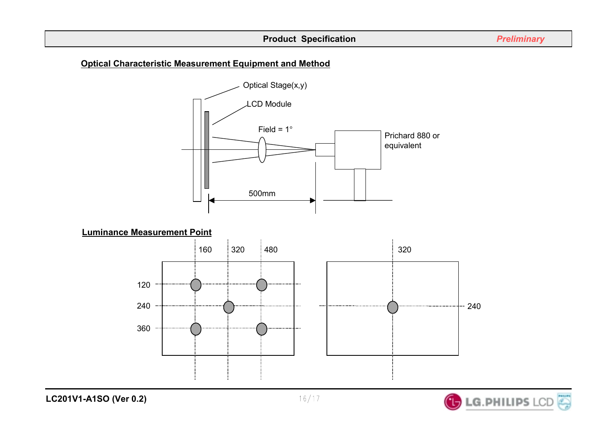#### **Optical Characteristic Measurement Equipment and Method**